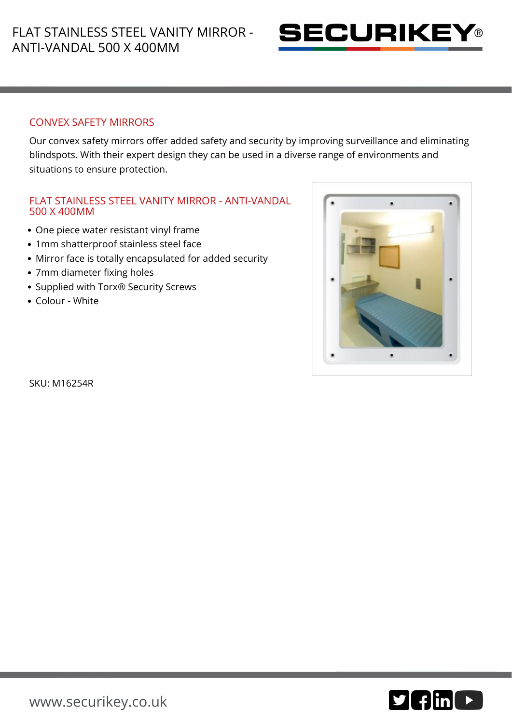

## CONVEX SAFETY MIRRORS

Our convex safety mirrors offer added safety and security by improving surveillance and eliminating blindspots. With their expert design they can be used in a diverse range of environments and situations to ensure protection.

## FLAT STAINLESS STEEL VANITY MIRROR - ANTI-VANDAL 500 X 400MM

- One piece water resistant vinyl frame
- 1mm shatterproof stainless steel face
- Mirror face is totally encapsulated for added security
- 7mm diameter fixing holes
- Supplied with Torx<sup>®</sup> Security Screws
- Colour White



SKU: M16254R

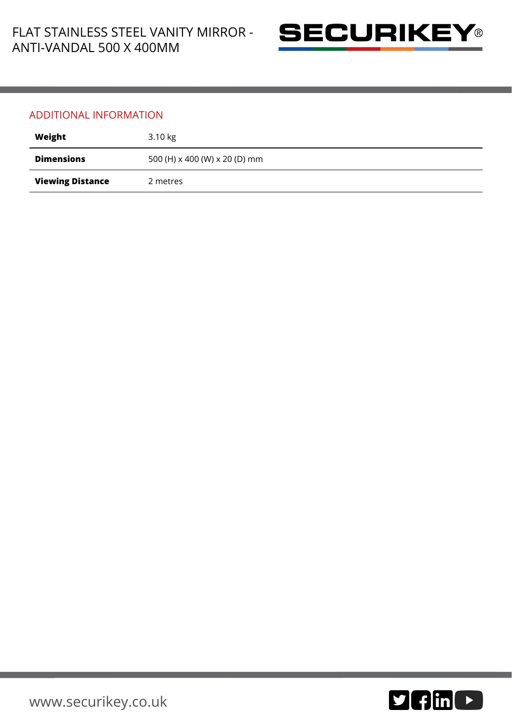

## ADDITIONAL INFORMATION

| Weight                  | 3.10 kg                       |
|-------------------------|-------------------------------|
| <b>Dimensions</b>       | 500 (H) x 400 (W) x 20 (D) mm |
| <b>Viewing Distance</b> | 2 metres                      |

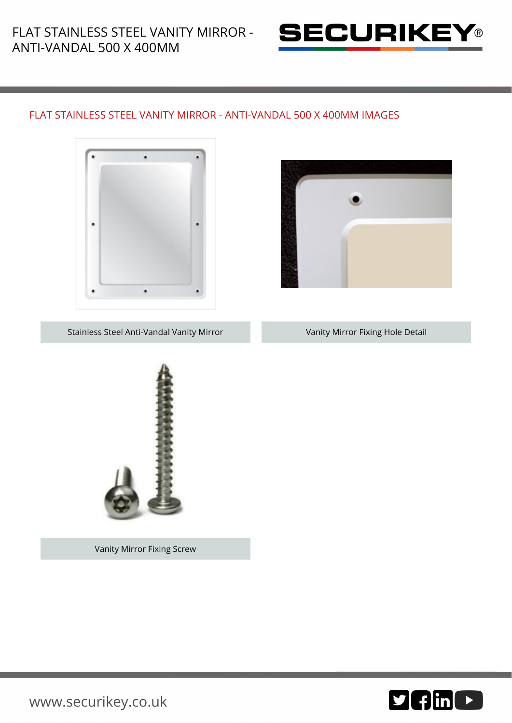

## FLAT STAINLESS STEEL VANITY MIRROR - ANTI-VANDAL 500 X 400MM IMAGES





Stainless Steel Anti-Vandal Vanity Mirror **Vanity Mirror Fixing Hole Detail** 



Vanity Mirror Fixing Screw